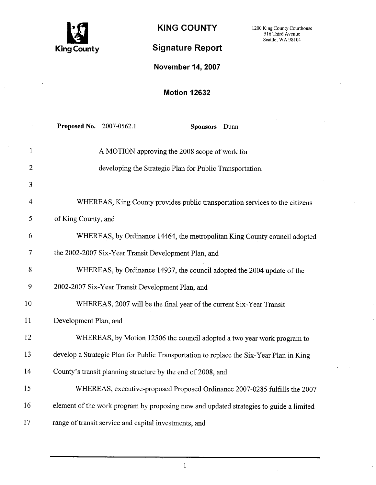

 $\hat{\mathcal{A}}$ 

KING COUNTY 1200 King County Courthouse Seattle, WA 98104

# Signature Report

# November 14,2007

# Motion 12632

|                | Proposed No. 2007-0562.1<br>Sponsors Dunn                                               |
|----------------|-----------------------------------------------------------------------------------------|
| $\mathbf{1}$   | A MOTION approving the 2008 scope of work for                                           |
| 2              | developing the Strategic Plan for Public Transportation.                                |
| 3              |                                                                                         |
| 4              | WHEREAS, King County provides public transportation services to the citizens            |
| 5              | of King County, and                                                                     |
| 6              | WHEREAS, by Ordinance 14464, the metropolitan King County council adopted               |
| $\overline{7}$ | the 2002-2007 Six-Year Transit Development Plan, and                                    |
| 8              | WHEREAS, by Ordinance 14937, the council adopted the 2004 update of the                 |
| 9              | 2002-2007 Six-Year Transit Development Plan, and                                        |
| 10             | WHEREAS, 2007 will be the final year of the current Six-Year Transit                    |
| 11             | Development Plan, and                                                                   |
| 12             | WHEREAS, by Motion 12506 the council adopted a two year work program to                 |
| 13             | develop a Strategic Plan for Public Transportation to replace the Six-Year Plan in King |
| 14             | County's transit planning structure by the end of 2008, and                             |
| 15             | WHEREAS, executive-proposed Proposed Ordinance 2007-0285 fulfills the 2007              |
| 16             | element of the work program by proposing new and updated strategies to guide a limited  |
| 17             | range of transit service and capital investments, and                                   |

1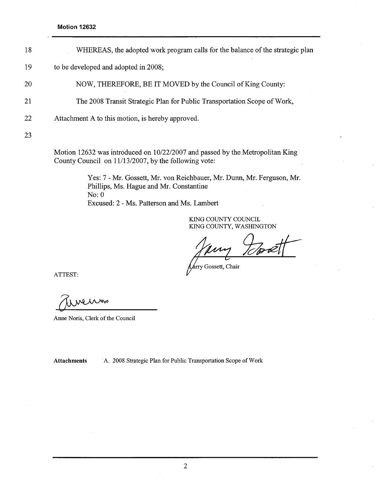- 18 WHEREAS, the adopted work program calls for the balance of the strategic plan
- 19 to be developed and adopted in 2008;
- 20 NOW, THEREFORE, BE IT MOVED by the Council of King County:
- 21 The 2008 Transit Strategic Plan for Public Transportation Scope of Work,
- 22 Attachment A to this motion, is hereby approved.

23

Motion 12632 was introduced on 10/22/2007 and passed by the Metropolitan King County Council on 11/13/2007, by the following vote:

> Yes: 7 - Mr. Gossett, Mr. von Reichbauer, Mr. Dunn, Mr. Ferguson, Mr. Phillips, Ms. Hague and Mr. Constantine No: 0 Excused: 2 - Ms. Patterson and Ms. Lambert

> > KING COUNTY COUNCIL KIG COUNTY, WASHINGTON

Gossett, Chair

ATTEST:

Anne Noris, Clerk of the Council

Attachments . A. 2008 Strategic Plan for Public Transportation Scope of Work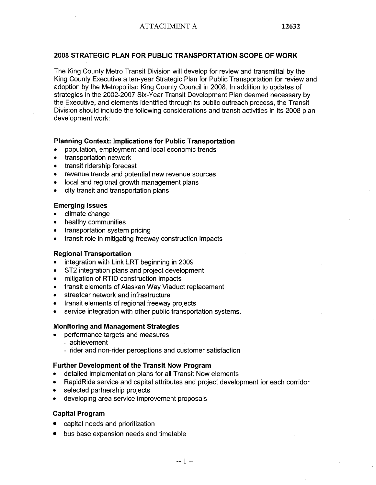# 2008 STRATEGIC PLAN FOR PUBLIC TRANSPORTATION SCOPE OF WORK

The King County Metro Transit Division will develop for review and transmittal by the King County Executive a ten-year Strategic Plan for Public Transportation for review and adoption by the Metropolitan King County Council in 2008. In addition to updates of strategies in the 2002-2007 Six-Year Transit Development Plan deemed necessary by the Executive, and elements identified through its public outreach process, the Transit Division should include the following considerations and transit activities in its 2008 plan development work:

## Planning Context: Implications for Public Transportation

- . population, employment and local economic trends
- . transportation network
- transit ridership forecast
- . revenue trends and potential new revenue sources
- . local and regional growth management plans
- . city transit and transportation plans

## Emerging Issues

- . climate change
- . healthy communities
- . transportation system pricing
- . transit role in mitigating freeway construction impacts

#### Regional Transportation

- integration with Link LRT beginning in 2009
- ST2 integration plans and project development
- . mitigation of RTID construction impacts
- · transit elements of Alaskan Way Viaduct replacement
- . streetcar network and infrastructure
- . transit elements of regional freeway projects
- service integration with other public transportation systems.

#### Monitoring and Management Strategies

- . performance targets and measures
	- achievement
	- rider and non-rider perceptions and customer satisfaction

#### Further Development of the Transit Now Program

- detailed implementation plans for all Transit Now elements
- RapidRide service and capital attributes and project development for each corridor
- . selected partnership projects
- · developing area service improvement proposals

# Capital Program

- . capital needs and prioritization
- . bus base expansion needs and timetable